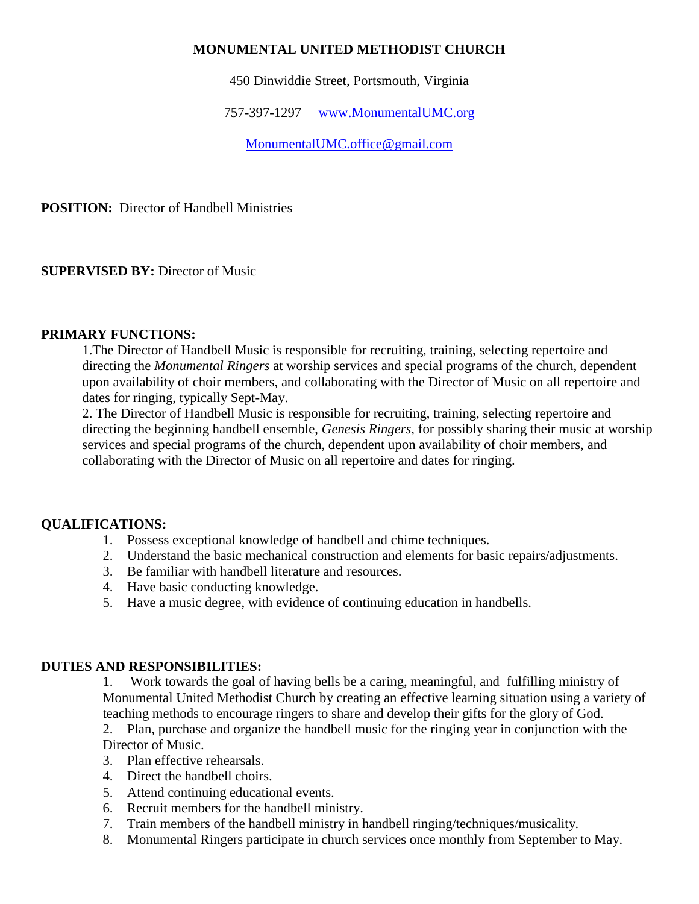# **MONUMENTAL UNITED METHODIST CHURCH**

450 Dinwiddie Street, Portsmouth, Virginia

757-397-1297 [www.MonumentalUMC.org](http://www.monumentalumc.org/)

[MonumentalUMC.office@gmail.com](mailto:MonumentalUMC.office@gmail.com)

**POSITION:** Director of Handbell Ministries

**SUPERVISED BY:** Director of Music

### **PRIMARY FUNCTIONS:**

1.The Director of Handbell Music is responsible for recruiting, training, selecting repertoire and directing the *Monumental Ringers* at worship services and special programs of the church, dependent upon availability of choir members, and collaborating with the Director of Music on all repertoire and dates for ringing, typically Sept-May.

2. The Director of Handbell Music is responsible for recruiting, training, selecting repertoire and directing the beginning handbell ensemble, *Genesis Ringers,* for possibly sharing their music at worship services and special programs of the church, dependent upon availability of choir members, and collaborating with the Director of Music on all repertoire and dates for ringing.

### **QUALIFICATIONS:**

- 1. Possess exceptional knowledge of handbell and chime techniques.
- 2. Understand the basic mechanical construction and elements for basic repairs/adjustments.
- 3. Be familiar with handbell literature and resources.
- 4. Have basic conducting knowledge.
- 5. Have a music degree, with evidence of continuing education in handbells.

### **DUTIES AND RESPONSIBILITIES:**

1. Work towards the goal of having bells be a caring, meaningful, and fulfilling ministry of Monumental United Methodist Church by creating an effective learning situation using a variety of teaching methods to encourage ringers to share and develop their gifts for the glory of God. 2. Plan, purchase and organize the handbell music for the ringing year in conjunction with the Director of Music.

- 3. Plan effective rehearsals.
- 4. Direct the handbell choirs.
- 5. Attend continuing educational events.
- 6. Recruit members for the handbell ministry.
- 7. Train members of the handbell ministry in handbell ringing/techniques/musicality.
- 8. Monumental Ringers participate in church services once monthly from September to May.